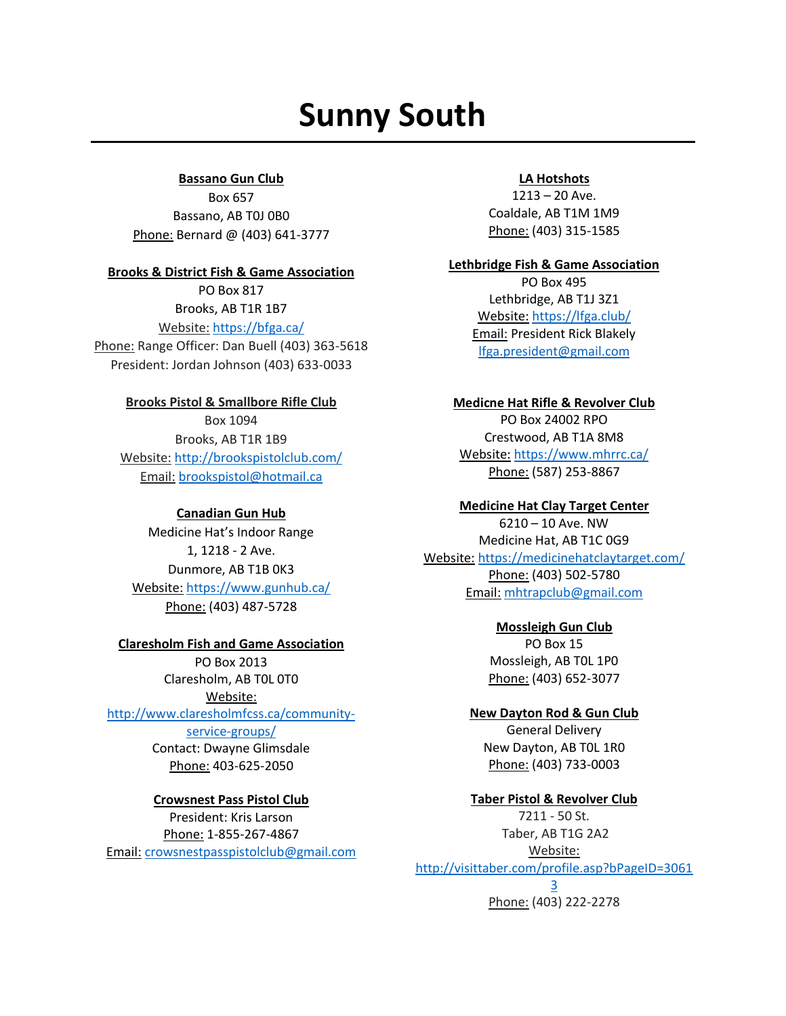# **Sunny South**

## **Bassano Gun Club**

Box 657 Bassano, AB T0J 0B0 Phone: Bernard @ (403) 641-3777

#### **Brooks & District Fish & Game Association**

PO Box 817 Brooks, AB T1R 1B7 Website: <https://bfga.ca/>

Phone: Range Officer: Dan Buell (403) 363-5618 President: Jordan Johnson (403) 633-0033

## **Brooks Pistol & Smallbore Rifle Club**

Box 1094 Brooks, AB T1R 1B9 Website: <http://brookspistolclub.com/> Email: [brookspistol@hotmail.ca](mailto:brookspistol@hotmail.ca)

## **Canadian Gun Hub**

Medicine Hat's Indoor Range 1, 1218 - 2 Ave. Dunmore, AB T1B 0K3 Website: <https://www.gunhub.ca/> Phone: [\(403\) 487-5728](https://www.google.com/search?q=canadian+gun+hub+dunmore+alberta&rlz=1C1GCEA_enCA750CA750&oq=canadian+gun+hub+dunmore+alberta&aqs=chrome..69i57j46i175i199i512.32872j0j4&sourceid=chrome&ie=UTF-8)

## **Claresholm Fish and Game Association**

PO Box 2013 Claresholm, AB T0L 0T0 Website: [http://www.claresholmfcss.ca/community](http://www.claresholmfcss.ca/community-service-groups/)[service-groups/](http://www.claresholmfcss.ca/community-service-groups/)

Contact: Dwayne Glimsdale Phone: 403-625-2050

## **Crowsnest Pass Pistol Club**

President: Kris Larson Phone: 1-855-267-4867 Email: [crowsnestpasspistolclub@gmail.com](mailto:crowsnestpasspistolclub@gmail.com)

## **LA Hotshots**

1213 – 20 Ave. Coaldale, AB T1M 1M9 Phone: (403) 315-1585

#### **Lethbridge Fish & Game Association**

PO Box 495 Lethbridge, AB T1J 3Z1 Website: <https://lfga.club/> Email: President Rick Blakely [lfga.president@gmail.com](mailto:lfga.president@gmail.com)

## **Medicne Hat Rifle & Revolver Club**

PO Box 24002 RPO Crestwood, AB T1A 8M8 Website: <https://www.mhrrc.ca/> Phone: (587) 253-8867

# **Medicine Hat Clay Target Center**

6210 – 10 Ave. NW Medicine Hat, AB T1C 0G9 Website: <https://medicinehatclaytarget.com/> Phone: (403) 502-5780 Email: [mhtrapclub@gmail.com](mailto:mhtrapclub@gmail.com)

## **Mossleigh Gun Club**

PO Box 15 Mossleigh, AB T0L 1P0 Phone: (403) 652-3077

## **New Dayton Rod & Gun Club**

General Delivery New Dayton, AB T0L 1R0 Phone: (403) 733-0003

# **Taber Pistol & Revolver Club**

7211 - 50 St. Taber, AB T1G 2A2 Website: [http://visittaber.com/profile.asp?bPageID=3061](http://visittaber.com/profile.asp?bPageID=30613) [3](http://visittaber.com/profile.asp?bPageID=30613) Phone: (403) 222-2278